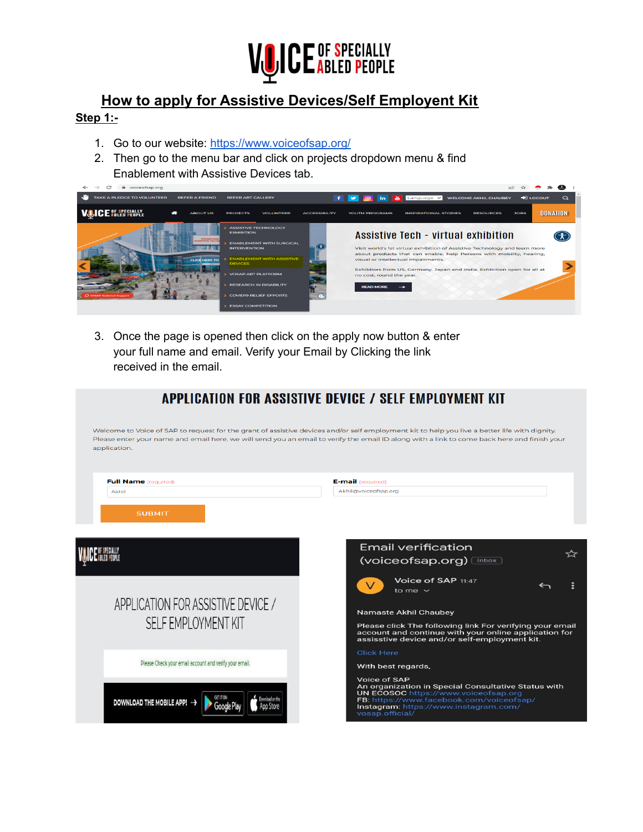

## **How to apply for Assistive Devices/Self Employent Kit**

## **Step 1:-**

- 1. Go to our website: <https://www.voiceofsap.org/>
- 2. Then go to the menu bar and click on projects dropdown menu & find Enablement with Assistive Devices tab.



3. Once the page is opened then click on the apply now button & enter your full name and email. Verify your Email by Clicking the link received in the email.

|                                                                               | APPLICATION FOR ASSISTIVE DEVICE / SELF EMPLOYMENT KIT                                                                                                                                                                                                                                       |
|-------------------------------------------------------------------------------|----------------------------------------------------------------------------------------------------------------------------------------------------------------------------------------------------------------------------------------------------------------------------------------------|
| application.                                                                  | Welcome to Voice of SAP to request for the grant of assistive devices and/or self employment kit to help you live a better life with dignity.<br>Please enter your name and email here, we will send you an email to verify the email ID along with a link to come back here and finish your |
| <b>Full Name</b> (required)<br>Akhil                                          | <b>E-mail</b> (required)<br>Akhil@voiceofsap.org                                                                                                                                                                                                                                             |
| <b>SUBMIT</b>                                                                 | <b>Email verification</b><br>(voiceofsap.org) <a> (index)</a> (index) (index) (index) (index) (index) (index) (index) (index) (index) (index) (index) (index) (index) (index) (index) (index) </th                                                                                           |
| APPLICATION FOR ASSISTIVE DEVICE /                                            | Voice of SAP 11:47<br>$\vee$<br>to me $\sim$<br><b>Namaste Akhil Chaubey</b>                                                                                                                                                                                                                 |
| SELF EMPLOYMENT KIT<br>Please Check your email account and verify your email. | Please click The following link For verifying your email<br>account and continue with your online application for<br>assisstive device and/or self-employment kit.<br><b>Click Here</b><br>With best regards,                                                                                |
| DOWNLOAD THE MOBILE APP!                                                      | Voice of SAP<br>An organization in Special Consultative Status with<br>UN ECOSOC https://www.voiceofsap.org<br>FB: https://www.facebook.com/voiceofsap/<br>Instagram: https://www.instagram.com/<br>vosap.official/                                                                          |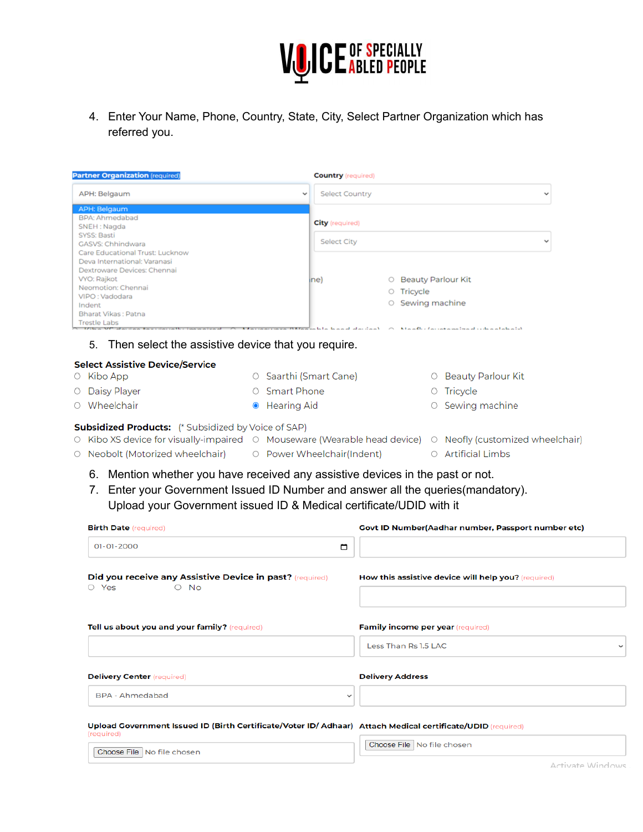

4. Enter Your Name, Phone, Country, State, City, Select Partner Organization which has referred you.

| <b>Partner Organization</b> (required)                                                       | <b>Country</b> (required)             |                                                                                                             |              |
|----------------------------------------------------------------------------------------------|---------------------------------------|-------------------------------------------------------------------------------------------------------------|--------------|
| APH: Belgaum                                                                                 | <b>Select Country</b><br>$\checkmark$ |                                                                                                             |              |
| <b>APH: Belgaum</b>                                                                          |                                       |                                                                                                             |              |
| BPA: Ahmedabad<br>SNEH: Nagda                                                                | <b>City</b> (required)                |                                                                                                             |              |
| SYSS: Basti<br>GASVS: Chhindwara                                                             | Select City                           |                                                                                                             |              |
| Care Educational Trust: Lucknow<br>Deva International: Varanasi                              |                                       |                                                                                                             |              |
| Dextroware Devices: Chennai                                                                  |                                       |                                                                                                             |              |
| VYO: Rajkot<br>Neomotion: Chennai                                                            | ine)                                  | ○ Beauty Parlour Kit<br>O Tricycle                                                                          |              |
| VIPO: Vadodara<br>Indent                                                                     |                                       | ○ Sewing machine                                                                                            |              |
| Bharat Vikas: Patna<br><b>Trestle Labs</b>                                                   |                                       |                                                                                                             |              |
|                                                                                              | المماثر بمالح الحمماط                 | لأمراجه والمراجع والمرادد المرودية ومواصفون بمراري والأومروز الأرا                                          |              |
| Then select the assistive device that you require.<br>5.                                     |                                       |                                                                                                             |              |
| <b>Select Assistive Device/Service</b>                                                       |                                       |                                                                                                             |              |
| O Kibo App                                                                                   | ○ Saarthi (Smart Cane)                | O Beauty Parlour Kit                                                                                        |              |
| O Daisy Player                                                                               | ○ Smart Phone                         | O Tricycle                                                                                                  |              |
| ○ Wheelchair                                                                                 | <b>Hearing Aid</b>                    | Sewing machine<br>O                                                                                         |              |
| <b>Subsidized Products:</b> (* Subsidized by Voice of SAP)                                   |                                       |                                                                                                             |              |
|                                                                                              |                                       | ○ Kibo XS device for visually-impaired ○ Mouseware (Wearable head device) ○ Neofly (customized wheelchair)  |              |
|                                                                                              |                                       |                                                                                                             |              |
| ○ Neobolt (Motorized wheelchair)                                                             | O Power Wheelchair(Indent)            | O Artificial Limbs                                                                                          |              |
| 6. Mention whether you have received any assistive devices in the past or not.<br>7.         |                                       | Enter your Government Issued ID Number and answer all the queries (mandatory).                              |              |
| Upload your Government issued ID & Medical certificate/UDID with it                          |                                       |                                                                                                             |              |
| <b>Birth Date</b> (required)                                                                 |                                       | Govt ID Number(Aadhar number, Passport number etc)                                                          |              |
| $01 - 01 - 2000$                                                                             | ▭                                     |                                                                                                             |              |
|                                                                                              |                                       |                                                                                                             |              |
| <b>Did you receive any Assistive Device in past?</b> (required)<br>$\circ$ Yes<br>$\circ$ No |                                       | How this assistive device will help you? (required)                                                         |              |
|                                                                                              |                                       |                                                                                                             |              |
| Tell us about you and your family? (required)                                                |                                       | <b>Family income per year</b> (required)                                                                    |              |
|                                                                                              |                                       | Less Than Rs 1.5 LAC                                                                                        | $\checkmark$ |
|                                                                                              |                                       |                                                                                                             |              |
| <b>Delivery Center</b> (required)                                                            |                                       | <b>Delivery Address</b>                                                                                     |              |
| <b>BPA - Ahmedabad</b>                                                                       | $\checkmark$                          |                                                                                                             |              |
|                                                                                              |                                       | Upload Government Issued ID (Birth Certificate/Voter ID/ Adhaar) Attach Medical certificate/UDID (required) |              |
| (required)                                                                                   |                                       | Choose File   No file chosen                                                                                |              |

Activate Windows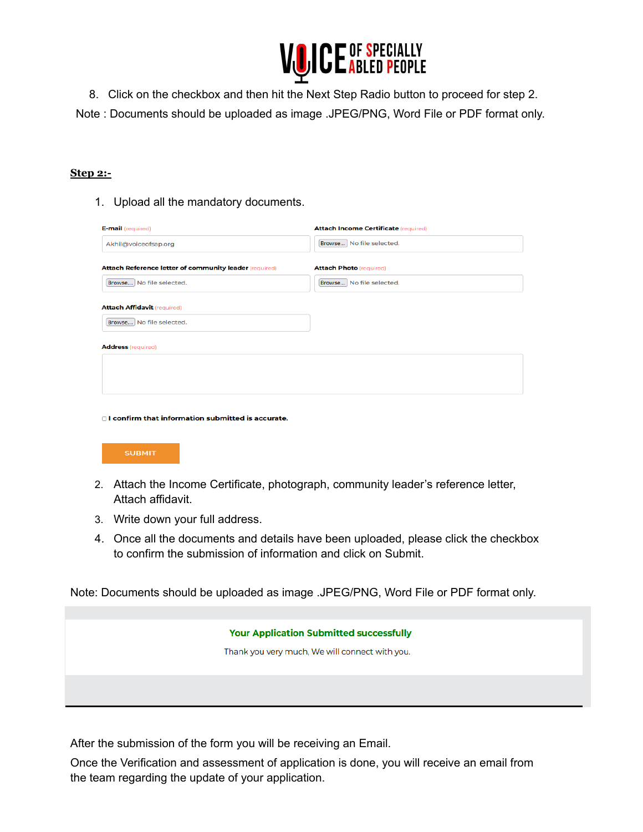

8. Click on the checkbox and then hit the Next Step Radio button to proceed for step 2.

Note : Documents should be uploaded as image .JPEG/PNG, Word File or PDF format only.

## **Step 2:-**

1. Upload all the mandatory documents.

| <b>E-mail</b> (required)                               | <b>Attach Income Certificate (required)</b> |
|--------------------------------------------------------|---------------------------------------------|
| Akhil@voiceofsap.org                                   | Browse No file selected.                    |
| Attach Reference letter of community leader (required) | <b>Attach Photo (required)</b>              |
| Browse No file selected.                               | Browse No file selected.                    |
| <b>Attach Affidavit (required)</b>                     |                                             |
| Browse No file selected.                               |                                             |
| <b>Address</b> (required)                              |                                             |
|                                                        |                                             |
|                                                        |                                             |

□ I confirm that information submitted is accurate.



- 2. Attach the Income Certificate, photograph, community leader's reference letter, Attach affidavit.
- 3. Write down your full address.
- 4. Once all the documents and details have been uploaded, please click the checkbox to confirm the submission of information and click on Submit.

Note: Documents should be uploaded as image .JPEG/PNG, Word File or PDF format only.

**Your Application Submitted successfully** 

Thank you very much, We will connect with you.

After the submission of the form you will be receiving an Email.

Once the Verification and assessment of application is done, you will receive an email from the team regarding the update of your application.